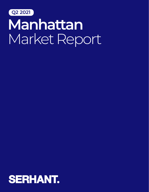

## **Manhattan** Market Report

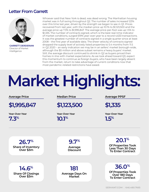### **Letter From Garrett**



**GARRETT DERDERIAN**  Director of Market Intelligence

Whoever said that New York is dead, was dead wrong. The Manhattan housing market was in full swing throughout Q2. The number of sales increased 123% over this time last year, driven by the strength we began to see in Q1. Prices recovered from last year, with the median price up 10.1% to \$1,123,500 and the average price up 7.3% to \$1,995,847. The average price-per-foot was up 1.5% to \$1,335. The number of contracts signed, which is the best real-time indicator of market conditions, surged 619% year-over-year to a record 4,633 transactions. It was the greatest number of contracts signed in a single quarter since at least 2008 – the first year of available data. The sheer velocity of contracts signed dropped the supply level of actively listed properties to 5.4 months from 11.5 in Q2 2020 – an early indication we may be in an sellers' market borough-wide, although the \$5 million and above subset remains a heavy buyers' market. Still, the average discount continued to shrink in Q2 as buyers priced their homes in-line with market expectations. As we look ahead toward Q3, expect this momentum to continue as foreign buyers, who have been largely absent from the market, return to take advantage of current conditions now that most pandemic-related restrictions have eased.

# Market Highlights:

#### **Average Price**

**\$1,995,847** 

**7.3%**

**Median Price**

**\$1,123,500** 

**10.1%**

**Average PPSF**

**\$1,335** 

**Year-Over-Year Year-Over-Year Year-Over-Year 1.5%**

**Share of Inventory Over \$3m 26.7%**

**Share Of Closings Over \$3m 14.6%**

**Average Discount 9.7%**

**20.1% Of Properties Took Less Than 30 Days To Enter Contract**

**Average Days On Market 181**

**36.0% Of Properties Took Over 180 Days To Enter Contract**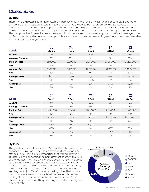## **Closed Sales**

#### **By Bed**

There were 2,739 Q2 sales in Manhattan, an increase of 123% over this time last year. For condos, 2-bedroom units were the most popular, totaling 37% of the market, followed by 1-bedrooms with 35%. Condos with 4 or more bedrooms had the greatest price increases, driven by heightened demand for larger spaces resulting from pandemic-related lifestyle changes. Their median price jumped 22% and their average increased 83%. The co-op market followed a similar pattern, with 4+ bedroom homes median price up 48% and average price up 24%. Notably, both condo and co-op studios show steep prices declines as buyers found them less favorable as they sought out larger spaces.

|                         |               |             | DO<br>nc    | 88          | ot<br>60     |
|-------------------------|---------------|-------------|-------------|-------------|--------------|
| Condo                   | <b>Studio</b> | 1 Bed       | 2 Bed       | 3 Bed       | 4+ Bed       |
| % Units                 | 7%            | 35%         | 37%         | 17%         | 5%           |
| <b>Average Discount</b> | 9%            | 10%         | 9%          | 13%         | 17%          |
| <b>Median Price</b>     | \$585,000     | \$999,000   | \$1,850,000 | \$3,850,000 | \$7,350,000  |
| YoY                     | $-14%$        | 4%          | $-1\%$      | 2%          | 22%          |
| <b>Average Price</b>    | \$596,749     | \$1,108,661 | \$2,073,001 | \$4,728,632 | \$13,084,507 |
| YoY                     | $-15%$        | $-3\%$      | 0%          | 13%         | 83%          |
| <b>Average PPSF</b>     | \$1,147       | \$1,396     | \$1,516     | \$2,007     | \$2,148      |
| YoY                     | $-11%$        | $-4%$       | $-0.5%$     | 3%          | 5%           |
| <b>Average SF</b>       | 533           | 821         | 1,344       | 2,180       | 3,631        |
| YoY                     | $-11%$        | 3%          | 1%          | 8%          | 7%           |

|                         |           |           | oc<br>ne    | 80          | 00<br>$\bullet\bullet$ |
|-------------------------|-----------|-----------|-------------|-------------|------------------------|
| Co-op                   | Studio    | 1 Bed     | 2 Bed       | 3 Bed       | $4+$ Bed               |
| % Units                 | 15%       | 41%       | 30%         | 12%         | 2%                     |
| <b>Average Discount</b> | 8%        | 8%        | 9%          | 11%         | 18%                    |
| <b>Median Price</b>     | \$400,000 | \$675,000 | \$1,230,000 | \$1,850,000 | \$3,725,000            |
| YoY                     | $-15%$    | 2%        | $-1\%$      | -8%         | 48%                    |
| <b>Average Price</b>    | \$419,212 | \$712,787 | \$1,405,821 | \$2,121,668 | \$4,078,864            |
| YoY                     | $-11%$    | 2%        | $-1\%$      | -6%         | 24%                    |
| <b>Average PPSF</b>     | \$854     | \$914     | \$1,091     | \$1,078     | \$1,232                |
| YoY                     | $-16%$    | $-2\%$    | 5%          | $-10%$      | 19%                    |
| <b>Average SF</b>       | 506       | 777       | 1,310       | 1,774       | 3,111                  |
| YoY                     | 8%        | 4%        | 1%          | -3%         | 21%                    |

#### **By Price**

The greatest share of deals, with 39.3% of the total, were priced between \$1-3 million. They had an average discount of 10% off their initial listing price. Properties that traded between \$500,000-1 million totaled the next greatest share, with 34.2% of the market. They had an average discount of 8%. The greatest discounts were for properties that sold between \$10-20 million, at 21%. These homes totaled 1.7% of all sales. Notably, the smallest discounts were for homes priced \$20 million and higher, at just 7% off the initial listing price. Their smaller discounts are a result of newly listed homes in this bracket pricing closer to market expectations. In the onset of the pandemic, properties in this price range reported the highest discount rate.

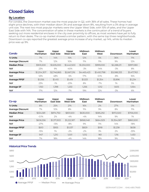## **Closed Sales**

#### **By Location**

For condos, the Downtown market was the most popular in Q2, with 36% of all sales. These homes had slight price declines, with their median down 3% and average down 8%, resulting from a 3% drop in average unit size. The next two most popular markets were the Upper West Side, with 15% of sales, and the Upper East Side with 14%. The concentration of sales in these markets is the continuation of a trend of buyers seeking out more residential enclaves in the city over proximity to offices, as most workers have yet to fully return to their desks. The co-op market showed a similar pattern, with the same top three neighborhoods. Downtown co-ops reported the greatest average price increase of any market, up 14%, while its median price was up 9%.

| Condo                   | Upper<br>Manhattan | Upper<br><b>East Side</b> | Upper<br><b>West Side</b> | Midtown<br>East | Midtown<br>West | Downtown    | Lower<br>Manhattan |
|-------------------------|--------------------|---------------------------|---------------------------|-----------------|-----------------|-------------|--------------------|
| % Units                 | 7%                 | 14%                       | 15%                       | 12%             | 5%              | 36%         | 11%                |
| <b>Average Discount</b> | 7%                 | 12%                       | 10%                       | 11%             | 11%             | 9%          | 12%                |
| <b>Median Price</b>     | \$905,500          | \$1,635,000               | \$1,442,500               | \$1,250,000     | \$999,000       | \$2,288,211 | \$997,080          |
| YoY                     | 23%                | 9%                        | $-40%$                    | $-3%$           | $-14%$          | $-3%$       | 8%                 |
| <b>Average Price</b>    | \$1,204,307        | \$2,746,865               | \$2,667,216               | \$4,465,423     | \$1,450,798     | \$3,088,333 | \$1,417,763        |
| YoY                     | 53%                | 48%                       | $-5\%$                    | 17%             | 0.1%            | $-8%$       | 16%                |
| <b>Average PPSF</b>     | \$1.056            | \$1,410                   | \$1,419                   | \$1,533         | \$1.354         | \$1.896     | \$1,234            |
| YoY                     | 23%                | $-1\%$                    | $-23%$                    | 8%              | $-7%$           | 1%          | 5%                 |
| Average SF              | 1,150              | 1,398                     | 1,253                     | 1,256           | 1,012           | 1,605       | 1,064              |
| YoY                     | 17%                | 12%                       | $-7\%$                    | 19%             | 12%             | $-3\%$      | 6%                 |

| Co-op                   | Upper<br>Manhattan | Upper<br><b>East Side</b> | Upper<br><b>West Side</b> | Midtown<br>East | Midtown<br>West | Downtown    | Lower<br>Manhattan |
|-------------------------|--------------------|---------------------------|---------------------------|-----------------|-----------------|-------------|--------------------|
| % Units                 | 8%                 | 25%                       | 21%                       | 16%             | 2%              | 27%         | 0%                 |
| <b>Average Discount</b> | 7%                 | 10%                       | 8%                        | 11%             | 9%              | 8%          | 11%                |
| <b>Median Price</b>     | \$534,581          | \$874,750                 | \$831,500                 | \$630,000       | \$585,292       | \$972,500   | \$706,000          |
| YoY                     | $-0.1%$            | 2%                        | $-4%$                     | $-4%$           | 14%             | 9%          | 1%                 |
| <b>Average Price</b>    | \$606,556          | \$1,371,903               | \$1,222,187               | \$858,048       | \$664.929       | \$1,354,087 | \$860,500          |
| YoY                     | $-27%$             | $-13%$                    | $-8\%$                    | 9%              | 11%             | 14%         | $-18%$             |
| <b>Average PPSF</b>     | \$610              | \$955                     | \$1.037                   | \$829           | \$918           | \$1.238     | \$638              |
| YoY                     | $-15%$             | 1%                        | $-2\%$                    | $-2\%$          | 3%              | 2%          | -33%               |
| Average SF              | 947                | 1,210                     | 1,001                     | 1,012           | 961             | 1.116       | 1,430              |
| YoY                     | 7%                 | 18%                       | $-4%$                     | 14%             | 18%             | 9%          | 11%                |



#### **Historical Price Trends**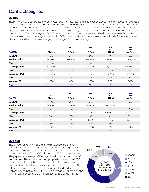## **Contracts Signed**

#### **By Bed**

There were 4,633 contracts signed in Q2 – the highest total since at least Q1 2008, the earliest year of available figures. The next greatest number of deals were signed in Q2 2013, when 4,592 contracts were reported. For condos, 1-bedroom and 2-bedroom homes each totaled 34% of the market. Their prices were largely stable over this time last year. 3-bedroom condos, with 18% share, had the strongest price improvements, with their median up 19% and average up 30%. These units also showed the greatest size increase, up 8%. For co-ops, 1-bedrooms totaled the largest share, with 38% of transactions. 2-bedrooms followed with 31% of the market. Like condos, their prices were largely unchanged from one year ago.

|                      |               |             | oc<br>ΩC    | 88          | 88          |
|----------------------|---------------|-------------|-------------|-------------|-------------|
| Condo                | <b>Studio</b> | 1 Bed       | 2 Bed       | 3 Bed       | $4+$ Bed    |
| % Units              | 6%            | 34%         | 34%         | 18%         | 8%          |
| <b>Median Price</b>  | \$629,000     | \$999,000   | \$1,995,000 | \$3,692,500 | \$7,991,500 |
| YoY                  | $-19%$        | 1%          | 5%          | 19%         | $-15%$      |
| <b>Average Price</b> | \$654,318     | \$1,158,093 | \$2,231,899 | \$4,565,491 | \$9,787,226 |
| YoY                  | $-13%$        | 0.2%        | 3%          | 30%         | $-4%$       |
| <b>Average PPSF</b>  | \$1,296       | \$1,471     | \$1,682     | \$2,077     | \$2,590     |
| YoY                  | $-8%$         | 0%          | 2%          | 17%         | -5%         |
| <b>Average SF</b>    | 526           | 804         | 1,304       | 2,082       | 3,634       |
| YoY                  | 5%            | $-2\%$      | 0%          | 8%          | $-4%$       |

|                      |               |           | $\alpha$    | 88          | 88          |
|----------------------|---------------|-----------|-------------|-------------|-------------|
| Co-op                | <b>Studio</b> | 1 Bed     | 2 Bed       | 3 Bed       | 4+ Bed      |
| % Units              | 11%           | 38%       | 31%         | 14%         | 5%          |
| <b>Median Price</b>  | \$435,000     | \$695,000 | \$1,285,000 | \$2,150,000 | \$4,500,000 |
| YoY                  | $-3%$         | $-1\%$    | 2%          | $-4%$       | $-22\%$     |
| <b>Average Price</b> | \$480,662     | \$744,198 | \$1,441,300 | \$2,496,648 | \$6,035,111 |
| YoY                  | 10%           | 0%        | $-4%$       | 4%          | 22%         |
| <b>Average PPSF</b>  | \$948         | \$961     | \$1,102     | \$1,155     | \$1,394     |
| YoY                  | 8%            | $-2\%$    | 14%         | 6%          | 31%         |
| <b>Average SF</b>    | 525           | 774       | 1,200       | 1,873       | 3,113       |
| YoY                  | 5%            | $-1\%$    | $-3\%$      | 8%          | 3%          |

#### **By Price**

The greatest share of contracts, with 39.0%, were priced between \$1-3 million. These homes spent an average of 178 days on the market. The next largest share of contracts was priced between \$500,000-1 million, with 33.2% of the market. They spent an average of 154 days listed, the shortest time of any bracket. The slowest moving properties were priced \$20 million and above, which made up 0.4% of the market and averaged 373 days listed. Properties priced under \$500,000 totaled 11.0% of the market and averaged 192 days listed. Homes priced between \$5-10 million averaged 269 days on the market while those \$10-20 million averaged 286 days listed.

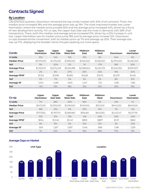## **Contracts Signed**

#### **By Location**

Like previous quarters, Downtown remained the top condo market with 34% of all contracts. There, the median price increased 18% and the average price was up 19%. The most improved market was Lower Manhattan, where the median price jumped 30% and the average price increased 40%, driven by a flurry of new development activity. For co-ops, the Upper East Side was the most in-demand, with 28% of all transactions. There, both the median and average prices increased 21%, driven by a 22% increase in unit size. Upper Manhattan saw its median price jump 18% and its average price increase 12%. Downtown co-ops showed similar movement, with its median price up 7% and average up 20%. Their average size was up 17%, displaying the broader trend of buyers seeking out more space.

| Condo                | Upper<br>Manhattan | Upper<br><b>East Side</b> | <b>Upper</b><br><b>West Side</b> | Midtown<br>East | Midtown<br>West | Downtown    | Lower<br>Manhattan |
|----------------------|--------------------|---------------------------|----------------------------------|-----------------|-----------------|-------------|--------------------|
| % Units              | 10%                | 14%                       | 15%                              | 15%             | 5%              | 34%         | 6%                 |
| <b>Median Price</b>  | \$1,075,000        | \$1,475,000               | \$1,995,000                      | \$1,165,000     | \$1,196,500     | \$2,375,000 | \$1,460,000        |
| YoY                  | 9%                 | $-20%$                    | 2%                               | 1%              | $-17\%$         | 18%         | 30%                |
| <b>Average Price</b> | \$1,232,347        | \$2,672,249               | \$3,265,385                      | \$2,368,604     | \$2,231,275     | \$3,345,050 | \$1,837,007        |
| YoY                  | 2%                 | 6%                        | 27%                              | 30%             | 45%             | 19%         | 40%                |
| <b>Average PPSF</b>  | \$1,153            | \$1,598                   | \$1,850                          | \$1,628         | \$1,670         | \$2,037     | \$1,461            |
| YoY                  | 11%                | $-7%$                     | O%                               | 5%              | 2%              | 8%          | 21%                |
| Average SF           | 1.054              | 1,498                     | 1,605                            | 1,247           | 1,131           | 1,595       | 1,186              |
| YoY                  | $-11%$             | 13%                       | 16%                              | 12%             | 21%             | 10%         | 13%                |

| Co-op                | <b>Upper</b><br>Manhattan | Upper<br><b>East Side</b> | Upper<br><b>West Side</b> | Midtown<br>East | Midtown<br>West | Downtown    | Lower<br>Manhattan |
|----------------------|---------------------------|---------------------------|---------------------------|-----------------|-----------------|-------------|--------------------|
| % Units              | 7%                        | 28%                       | 20%                       | 18%             | 2%              | 23%         | 1%                 |
| <b>Median Price</b>  | \$547,000                 | \$1,050,000               | \$1,099,500               | \$749,000       | \$512,500       | \$940,000   | \$849,000          |
| YoY                  | 18%                       | 21%                       | 11%                       | 27%             | 21%             | 7%          | $-5%$              |
| <b>Average Price</b> | \$707,825                 | \$1,797,174               | \$1,589,960               | \$916,661       | \$645,955       | \$1,423,147 | \$1,017,791        |
| YoY                  | 12%                       | 21%                       | 13%                       | $-6%$           | 49%             | 20%         | $-24%$             |
| <b>Average PPSF</b>  | \$654                     | \$1.046                   | \$1,143                   | \$895           | \$887           | \$1,311     | \$862              |
| YoY                  | 9%                        | 13%                       | 0%                        | 10%             | 12%             | 3%          | $-25%$             |
| Average SF           | 909                       | .267                      | 1.087                     | 1.046           | 898             | 1.198       | 1,339              |
| YoY                  | 1%                        | 22%                       | 4%                        | 16%             | 28%             | 17%         | 13%                |



#### **Average Days on Market**

**185**

Manhattan

**202**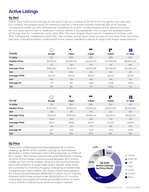## **Active Listings**

#### **By Bed**

There were 8,331 active listings at the end of Q2, an increase of 30.9% from the same time last year. For condos, the largest share of inventory was for 2-bedroom homes, totaling 33% of all listings. 1-bedrooms made up 29%, followed by 3-bedrooms at 20%. Condo median prices declined across all unit sizes, apart from 4+ bedroom homes, where it increased 8%. For co-ops, the greatest share of listings was for 1-bedroom units, with 35%. The next largest share was for 2-bedroom homes, with 30%, followed by 3-bedrooms with 15%. Like condos, prices were lower across all unit sizes from this time last year, indicating sellers understand home values needed to adjust to align with buyer expectations.

|                      |           |             | oa          | 88          | 88           |
|----------------------|-----------|-------------|-------------|-------------|--------------|
| Condo                | Studio    | 1 Bed       | 2 Bed       | 3 Bed       | $4+$ Bed     |
| % Units              | 5%        | 29%         | 33%         | 20%         | 12%          |
| <b>Median Price</b>  | \$679,000 | \$1,099,000 | \$2,225,000 | \$4,250,000 | \$8,800,000  |
| YoY                  | $-1\%$    | $-4%$       | $-7\%$      | $-1\%$      | 8%           |
| <b>Average Price</b> | \$886,584 | \$1,431,417 | \$2,552,256 | \$5,278,030 | \$12,495,443 |
| YoY                  | $-1\%$    | 10%         | $-6%$       | $-6%$       | $-2\%$       |
| <b>Average PPSF</b>  | \$1,409   | \$1,532     | \$1,800     | \$2,24]     | \$2,931      |
| YoY                  | $-6%$     | $-3%$       | $-5%$       | $-5%$       | $-2\%$       |
| Average SF           | 713       | 851         | 1,380       | 2,226       | 3,903        |
| YoY                  | 11%       | 3%          | $-1\%$      | $-0.1\%$    | $-1\%$       |

|                      |               |           | $\mathbf{X}$<br>nr | 88          | 88          |
|----------------------|---------------|-----------|--------------------|-------------|-------------|
| Co-op                | <b>Studio</b> | l Bed     | 2 Bed              | 3 Bed       | $4+$ Bed    |
| % Units              | 11%           | 35%       | 30%                | 15%         | 9%          |
| <b>Median Price</b>  | \$450,000     | \$699,000 | \$1,295,000        | \$2,550,000 | \$5,250,000 |
| YoY                  | $-6%$         | $-3%$     | $-7\%$             | 2%          | $-6%$       |
| <b>Average Price</b> | \$550,613     | \$769,895 | \$1,586,441        | \$3,215,411 | \$8,150,323 |
| YoY                  | $-0.4%$       | $-6%$     | -5%                | $-4%$       | $-3\%$      |
| <b>Average PPSF</b>  | \$970         | \$988     | \$1,107            | \$1,390     | \$1,809     |
| YoY                  | $-4%$         | $-5%$     | $-7\%$             | $-3%$       | $-4%$       |
| Average SF           | 627           | 806       | 1,630              | 2,132       | 3,657       |
| YoY                  | 3%            | $-13%$    | 27%                | 8%          | 5%          |

#### **By Price**

There were 2,999 properties listed between \$1-3 million, making up 36.0% of the market. Listings priced between \$500,000-1 million followed, with 2,315 properties, or 27.8% of the market. 794 homes were priced under \$500,000, making up 9.5% of the market. Homes priced between \$3-5 million made up 11.2% of the market, while the remaining brackets each amounted to a single-digit share. Market-wide, there are currently 5.4 months of supply, indicating a market that is beginning to favor sellers. The most constricted supply is for homes priced between \$500,000-1 million, at 4.5 months, followed both those priced under \$500,000 at 4.7 months. Conversely, the supply of homes priced \$20 million or more is 24.2 months, indicating an extreme buyers' market.

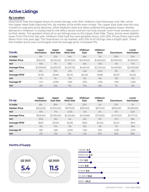## **Active Listings**

#### **By Location**

Downtown had the largest share of condo listings, with 30%. Midtown East followed, with 18%, while the Upper West Side captured 14%. By market, price shifts were mixed. The Upper East Side was the only market to note zero price declines, while Midtown East and West suffered the greatest losses. Market demand in Midtown is closely tied to the office sector and will not fully recover until more workers return to their desks. The greatest share of co-op listings was on the Upper East Side. There, prices were slightly lower from this time last year. Midtown East had the next greatest share, with 22%. Prices there were also down from one year ago. The Downtown co-op market, with 21% of all listings, was a bright spot. There, the median price was unchanged, and the average price increased 17%.

| Condo                | Upper<br>Manhattan | Upper<br>East Side | Upper<br><b>West Side</b> | Midtown<br>East | Midtown<br>West | Downtown    | Lower<br>Manhattan |
|----------------------|--------------------|--------------------|---------------------------|-----------------|-----------------|-------------|--------------------|
| % Units              | 9%                 | 12%                | 14%                       | 18%             | 7%              | 30%         | 10%                |
| <b>Median Price</b>  | \$912,500          | \$2,512,500        | \$2,597,500               | \$1,649,500     | \$1,485,000     | \$2,995,000 | \$1,299,000        |
| YoY                  | $-15%$             | 1%                 | 13%                       | $-8\%$          | $-13%$          | $-3%$       | $-11%$             |
| <b>Average Price</b> | \$1,378,609        | \$4,831,072        | \$4,313,729               | \$4,181,491     | \$2,725,340     | \$4,559,810 | \$2,008,398        |
| YoY                  | O%                 | 15%                | $-2\%$                    | $-14%$          | $-24%$          | 3%          | $-6%$              |
| <b>Average PPSF</b>  | \$1,133            | \$1.969            | \$2,122                   | \$2,030         | \$1.881         | \$2,157     | \$1,492            |
| YoY                  | $-1%$              | $1\%$              | $-3%$                     | $-5%$           | $-9%$           | $-3%$       | $-3%$              |
| Average SF           | 1,141              | 2,095              | 1,816                     | 1,534           | 1,253           | 1,901       | 1,228              |
| YoY                  | $-2\%$             | 14%                | 11%                       | $-11%$          | $-8%$           | $1\%$       | -5%                |

| Co-op                | Upper<br>Manhattan | <b>Upper</b><br>East Side | Upper<br><b>West Side</b> | Midtown<br>East | Midtown<br>West | Downtown    | Lower<br>Manhattan |
|----------------------|--------------------|---------------------------|---------------------------|-----------------|-----------------|-------------|--------------------|
| % Units              | 8%                 | 29%                       | 17%                       | 22%             | 2%              | 21%         | 1%                 |
| <b>Median Price</b>  | \$500,000          | \$1,300,000               | \$977,000                 | \$750,000       | \$571,000       | \$975,000   | \$1,099,000        |
| YoY                  | $-13%$             | $-7\%$                    | $-0.3%$                   | $-4%$           | 4%              | O%          | 42%                |
| <b>Average Price</b> | \$593,649          | \$2,780,590               | \$2,109,584               | \$1,219,868     | \$778,920       | \$1,797,305 | \$1,177,740        |
| YoY                  | $-20%$             | $-9%$                     | 4%                        | $-6%$           | 11%             | 17%         | 18%                |
| <b>Average PPSF</b>  | \$667              | \$1.300                   | \$1.255                   | \$952           | \$1.004         | \$1,341     | \$941              |
| YoY                  | $-5%$              | 1.1%                      | $-5%$                     | $-9%$           | $-3%$           | $-1%$       | $-18%$             |
| Average SF           | 936                | 1,661                     | 2,059                     | 1,133           | 964             | 1,435       | 1,373              |
| YoY                  | $-2\%$             | $-2\%$                    | 3%                        | $-4%$           | 10%             | 22%         | 39%                |

#### **Months of Supply**